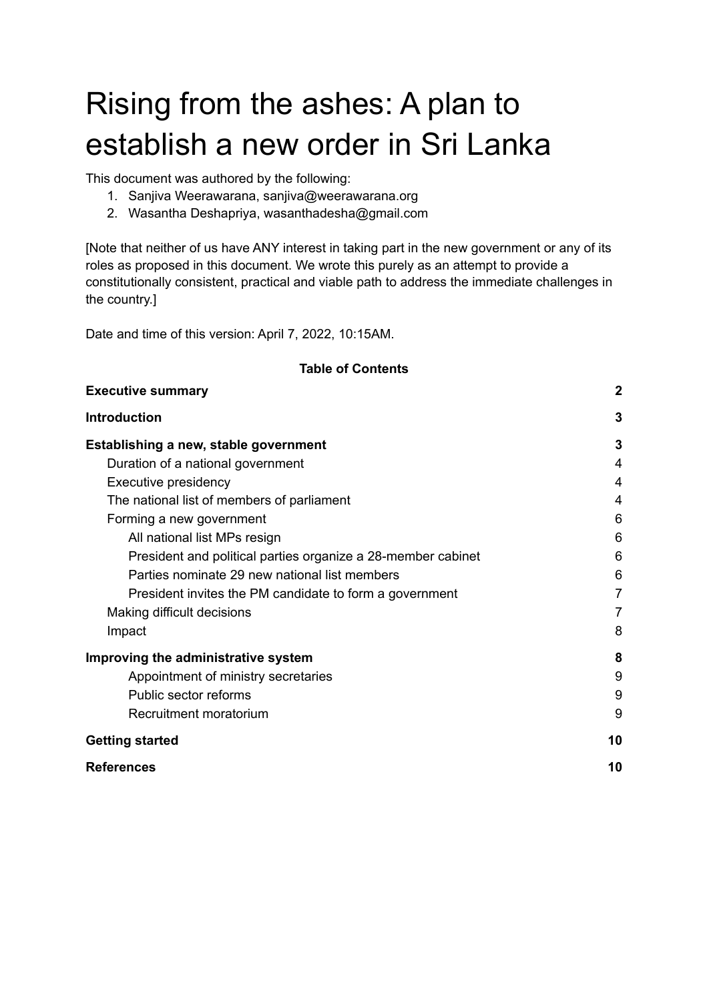# Rising from the ashes: A plan to establish a new order in Sri Lanka

This document was authored by the following:

- 1. Sanjiva Weerawarana, sanjiva@weerawarana.org
- 2. Wasantha Deshapriya, wasanthadesha@gmail.com

[Note that neither of us have ANY interest in taking part in the new government or any of its roles as proposed in this document. We wrote this purely as an attempt to provide a constitutionally consistent, practical and viable path to address the immediate challenges in the country.]

Date and time of this version: April 7, 2022, 10:15AM.

| <b>Executive summary</b>                                     | $\boldsymbol{2}$ |
|--------------------------------------------------------------|------------------|
| <b>Introduction</b>                                          | 3                |
| Establishing a new, stable government                        | 3                |
| Duration of a national government                            | 4                |
| Executive presidency                                         | 4                |
| The national list of members of parliament                   | 4                |
| Forming a new government                                     | 6                |
| All national list MPs resign                                 | 6                |
| President and political parties organize a 28-member cabinet | 6                |
| Parties nominate 29 new national list members                | 6                |
| President invites the PM candidate to form a government      | $\overline{7}$   |
| Making difficult decisions                                   | 7                |
| Impact                                                       | 8                |
| Improving the administrative system                          | 8                |
| Appointment of ministry secretaries                          | 9                |
| Public sector reforms                                        | 9                |
| Recruitment moratorium                                       | 9                |
| <b>Getting started</b>                                       | 10               |
| <b>References</b>                                            | 10               |

#### **Table of Contents**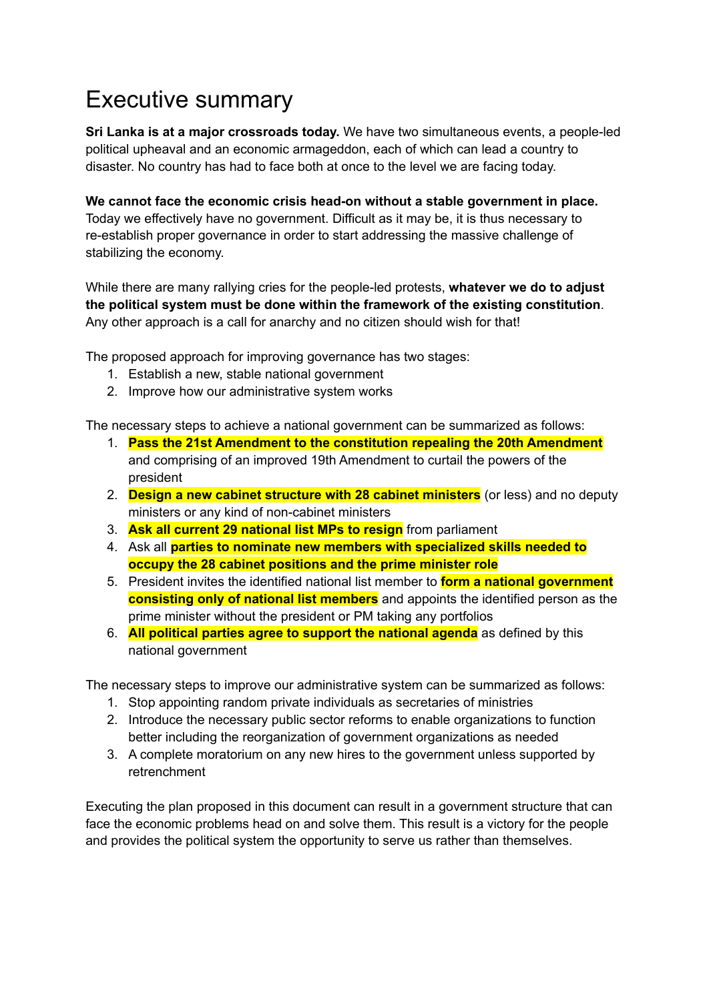## <span id="page-1-0"></span>Executive summary

**Sri Lanka is at a major crossroads today.** We have two simultaneous events, a people-led political upheaval and an economic armageddon, each of which can lead a country to disaster. No country has had to face both at once to the level we are facing today.

**We cannot face the economic crisis head-on without a stable government in place.** Today we effectively have no government. Difficult as it may be, it is thus necessary to re-establish proper governance in order to start addressing the massive challenge of stabilizing the economy.

While there are many rallying cries for the people-led protests, **whatever we do to adjust the political system must be done within the framework of the existing constitution**. Any other approach is a call for anarchy and no citizen should wish for that!

The proposed approach for improving governance has two stages:

- 1. Establish a new, stable national government
- 2. Improve how our administrative system works

The necessary steps to achieve a national government can be summarized as follows:

- 1. **Pass the 21st Amendment to the constitution repealing the 20th Amendment** and comprising of an improved 19th Amendment to curtail the powers of the president
- 2. **Design a new cabinet structure with 28 cabinet ministers** (or less) and no deputy ministers or any kind of non-cabinet ministers
- 3. **Ask all current 29 national list MPs to resign** from parliament
- 4. Ask all **parties to nominate new members with specialized skills needed to occupy the 28 cabinet positions and the prime minister role**
- 5. President invites the identified national list member to **form a national government consisting only of national list members** and appoints the identified person as the prime minister without the president or PM taking any portfolios
- 6. **All political parties agree to support the national agenda** as defined by this national government

The necessary steps to improve our administrative system can be summarized as follows:

- 1. Stop appointing random private individuals as secretaries of ministries
- 2. Introduce the necessary public sector reforms to enable organizations to function better including the reorganization of government organizations as needed
- 3. A complete moratorium on any new hires to the government unless supported by retrenchment

Executing the plan proposed in this document can result in a government structure that can face the economic problems head on and solve them. This result is a victory for the people and provides the political system the opportunity to serve us rather than themselves.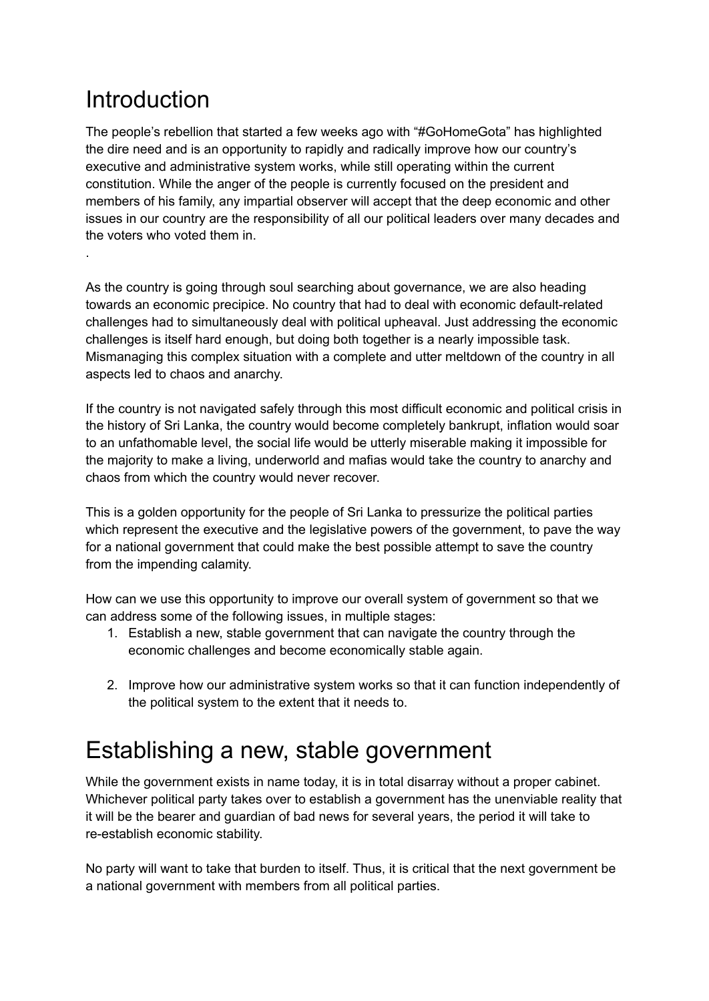## <span id="page-2-0"></span>**Introduction**

.

The people's rebellion that started a few weeks ago with "#GoHomeGota" has highlighted the dire need and is an opportunity to rapidly and radically improve how our country's executive and administrative system works, while still operating within the current constitution. While the anger of the people is currently focused on the president and members of his family, any impartial observer will accept that the deep economic and other issues in our country are the responsibility of all our political leaders over many decades and the voters who voted them in.

As the country is going through soul searching about governance, we are also heading towards an economic precipice. No country that had to deal with economic default-related challenges had to simultaneously deal with political upheaval. Just addressing the economic challenges is itself hard enough, but doing both together is a nearly impossible task. Mismanaging this complex situation with a complete and utter meltdown of the country in all aspects led to chaos and anarchy.

If the country is not navigated safely through this most difficult economic and political crisis in the history of Sri Lanka, the country would become completely bankrupt, inflation would soar to an unfathomable level, the social life would be utterly miserable making it impossible for the majority to make a living, underworld and mafias would take the country to anarchy and chaos from which the country would never recover.

This is a golden opportunity for the people of Sri Lanka to pressurize the political parties which represent the executive and the legislative powers of the government, to pave the way for a national government that could make the best possible attempt to save the country from the impending calamity.

How can we use this opportunity to improve our overall system of government so that we can address some of the following issues, in multiple stages:

- 1. Establish a new, stable government that can navigate the country through the economic challenges and become economically stable again.
- 2. Improve how our administrative system works so that it can function independently of the political system to the extent that it needs to.

## <span id="page-2-1"></span>Establishing a new, stable government

While the government exists in name today, it is in total disarray without a proper cabinet. Whichever political party takes over to establish a government has the unenviable reality that it will be the bearer and guardian of bad news for several years, the period it will take to re-establish economic stability.

No party will want to take that burden to itself. Thus, it is critical that the next government be a national government with members from all political parties.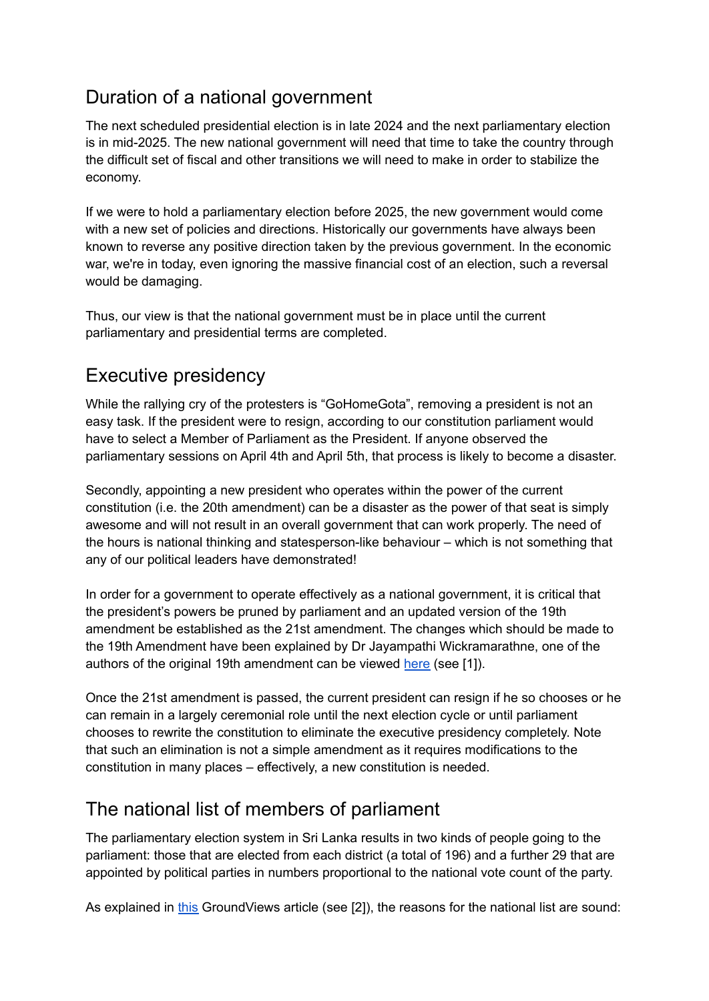### <span id="page-3-0"></span>Duration of a national government

The next scheduled presidential election is in late 2024 and the next parliamentary election is in mid-2025. The new national government will need that time to take the country through the difficult set of fiscal and other transitions we will need to make in order to stabilize the economy.

If we were to hold a parliamentary election before 2025, the new government would come with a new set of policies and directions. Historically our governments have always been known to reverse any positive direction taken by the previous government. In the economic war, we're in today, even ignoring the massive financial cost of an election, such a reversal would be damaging.

Thus, our view is that the national government must be in place until the current parliamentary and presidential terms are completed.

### <span id="page-3-1"></span>Executive presidency

While the rallying cry of the protesters is "GoHomeGota", removing a president is not an easy task. If the president were to resign, according to our constitution parliament would have to select a Member of Parliament as the President. If anyone observed the parliamentary sessions on April 4th and April 5th, that process is likely to become a disaster.

Secondly, appointing a new president who operates within the power of the current constitution (i.e. the 20th amendment) can be a disaster as the power of that seat is simply awesome and will not result in an overall government that can work properly. The need of the hours is national thinking and statesperson-like behaviour – which is not something that any of our political leaders have demonstrated!

In order for a government to operate effectively as a national government, it is critical that the president's powers be pruned by parliament and an updated version of the 19th amendment be established as the 21st amendment. The changes which should be made to the 19th Amendment have been explained by Dr Jayampathi Wickramarathne, one of the authors of the original 19th amendment can be viewed [here](https://anidda.lk/19-%e0%b7%80%e0%b6%b1-%e0%b7%83%e0%b6%82%e0%b7%81%e0%b7%9d%e0%b6%b0%e0%b6%b1%e0%b6%ba%e0%b6%a7-%e0%b6%86%e0%b6%b4%e0%b7%83%e0%b7%94-%e0%b6%ba%e0%b7%91%e0%b6%b8-19%e0%b6%ba%e0%b7%9a-%e0%b6%b4%e0%b7%8a/?fbclid=IwAR1_gdRiDVP4hqLvZcLu1L8lcttkKZeMYbA4pj4YRllEuMuthoqoWFOg85k) (see [1]).

Once the 21st amendment is passed, the current president can resign if he so chooses or he can remain in a largely ceremonial role until the next election cycle or until parliament chooses to rewrite the constitution to eliminate the executive presidency completely. Note that such an elimination is not a simple amendment as it requires modifications to the constitution in many places – effectively, a new constitution is needed.

### <span id="page-3-2"></span>The national list of members of parliament

The parliamentary election system in Sri Lanka results in two kinds of people going to the parliament: those that are elected from each district (a total of 196) and a further 29 that are appointed by political parties in numbers proportional to the national vote count of the party.

As explained in [this](https://groundviews.org/2015/09/05/national-list-what-list/) GroundViews article (see [2]), the reasons for the national list are sound: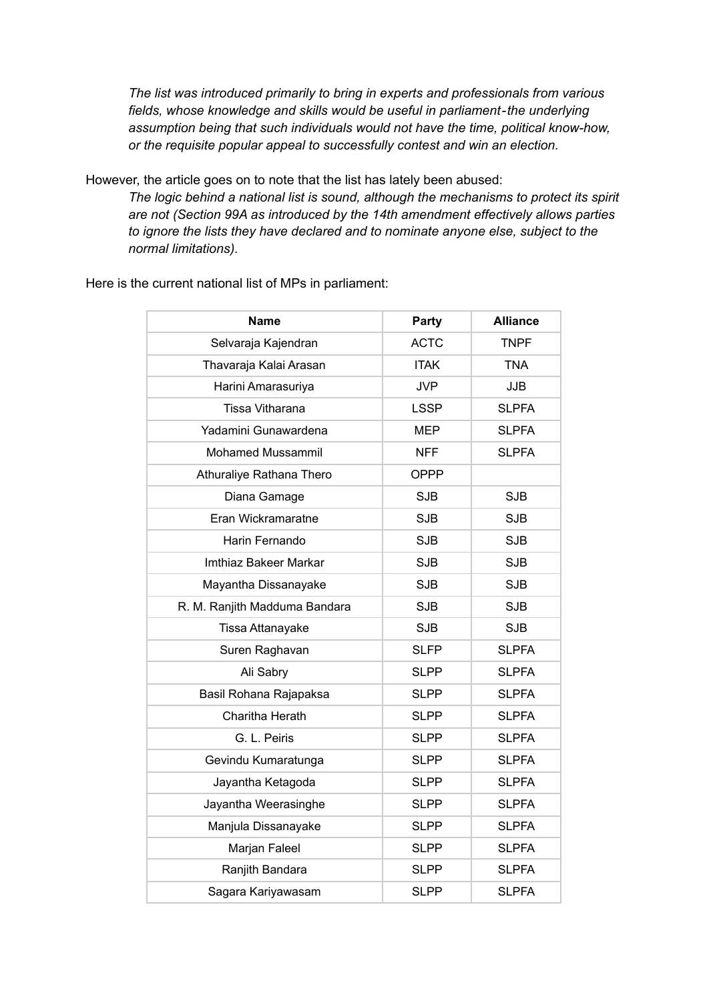*The list was introduced primarily to bring in experts and professionals from various fields, whose knowledge and skills would be useful in parliament-the underlying assumption being that such individuals would not have the time, political know-how, or the requisite popular appeal to successfully contest and win an election.*

However, the article goes on to note that the list has lately been abused:

*The logic behind a national list is sound, although the mechanisms to protect its spirit are not (Section 99A as introduced by the 14th amendment effectively allows parties to ignore the lists they have declared and to nominate anyone else, subject to the normal limitations).*

| Name                          | Party       | <b>Alliance</b> |
|-------------------------------|-------------|-----------------|
| Selvaraja Kajendran           | <b>ACTC</b> | <b>TNPF</b>     |
| Thavaraja Kalai Arasan        | <b>ITAK</b> | <b>TNA</b>      |
| Harini Amarasuriya            | <b>JVP</b>  | <b>JJB</b>      |
| Tissa Vitharana               | <b>LSSP</b> | <b>SLPFA</b>    |
| Yadamini Gunawardena          | <b>MEP</b>  | <b>SLPFA</b>    |
| <b>Mohamed Mussammil</b>      | <b>NFF</b>  | <b>SLPFA</b>    |
| Athuraliye Rathana Thero      | <b>OPPP</b> |                 |
| Diana Gamage                  | <b>SJB</b>  | <b>SJB</b>      |
| Eran Wickramaratne            | <b>SJB</b>  | <b>SJB</b>      |
| Harin Fernando                | <b>SJB</b>  | <b>SJB</b>      |
| Imthiaz Bakeer Markar         | <b>SJB</b>  | <b>SJB</b>      |
| Mayantha Dissanayake          | <b>SJB</b>  | <b>SJB</b>      |
| R. M. Ranjith Madduma Bandara | <b>SJB</b>  | <b>SJB</b>      |
| Tissa Attanayake              | <b>SJB</b>  | <b>SJB</b>      |
| Suren Raghavan                | <b>SLFP</b> | <b>SLPFA</b>    |
| Ali Sabry                     | <b>SLPP</b> | <b>SLPFA</b>    |
| Basil Rohana Rajapaksa        | <b>SLPP</b> | <b>SLPFA</b>    |
| Charitha Herath               | <b>SLPP</b> | <b>SLPFA</b>    |
| G. L. Peiris                  | <b>SLPP</b> | <b>SLPFA</b>    |
| Gevindu Kumaratunga           | <b>SLPP</b> | <b>SLPFA</b>    |
| Jayantha Ketagoda             | <b>SLPP</b> | <b>SLPFA</b>    |
| Jayantha Weerasinghe          | <b>SLPP</b> | <b>SLPFA</b>    |
| Manjula Dissanayake           | <b>SLPP</b> | <b>SLPFA</b>    |
| Marjan Faleel                 | <b>SLPP</b> | <b>SLPFA</b>    |
| Ranjith Bandara               | <b>SLPP</b> | <b>SLPFA</b>    |
| Sagara Kariyawasam            | <b>SLPP</b> | <b>SLPFA</b>    |

Here is the current national list of MPs in parliament: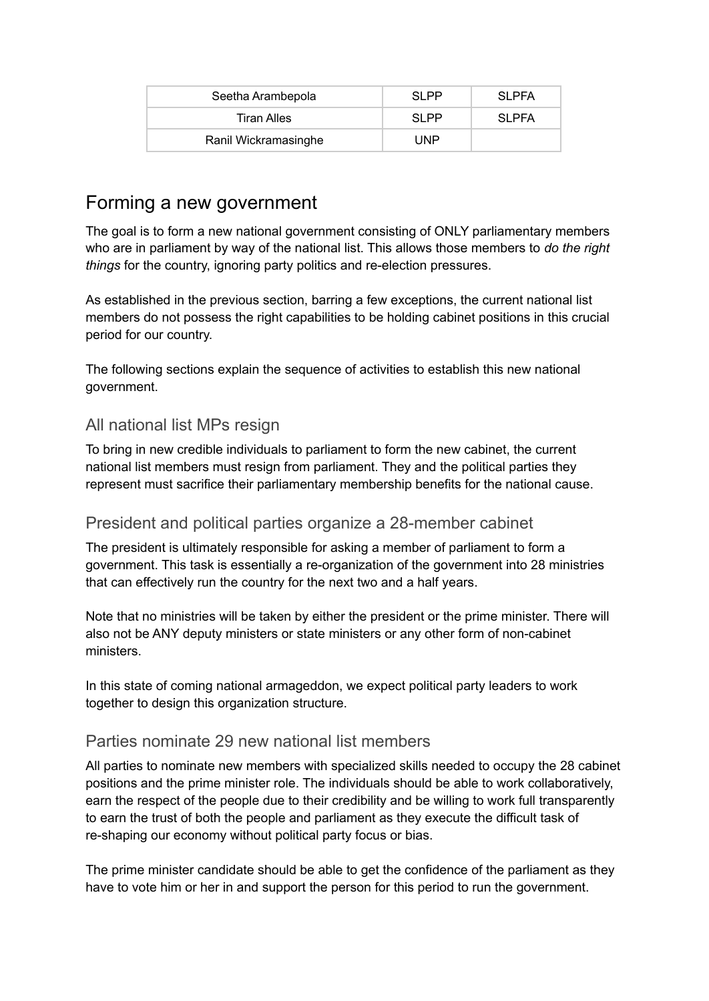| Seetha Arambepola    | SI PP | <b>SLPFA</b> |
|----------------------|-------|--------------|
| Tiran Alles          | SI PP | <b>SLPFA</b> |
| Ranil Wickramasinghe | UNP   |              |

### <span id="page-5-0"></span>Forming a new government

The goal is to form a new national government consisting of ONLY parliamentary members who are in parliament by way of the national list. This allows those members to *do the right things* for the country, ignoring party politics and re-election pressures.

As established in the previous section, barring a few exceptions, the current national list members do not possess the right capabilities to be holding cabinet positions in this crucial period for our country.

The following sections explain the sequence of activities to establish this new national government.

#### <span id="page-5-1"></span>All national list MPs resign

To bring in new credible individuals to parliament to form the new cabinet, the current national list members must resign from parliament. They and the political parties they represent must sacrifice their parliamentary membership benefits for the national cause.

#### <span id="page-5-2"></span>President and political parties organize a 28-member cabinet

The president is ultimately responsible for asking a member of parliament to form a government. This task is essentially a re-organization of the government into 28 ministries that can effectively run the country for the next two and a half years.

Note that no ministries will be taken by either the president or the prime minister. There will also not be ANY deputy ministers or state ministers or any other form of non-cabinet ministers.

In this state of coming national armageddon, we expect political party leaders to work together to design this organization structure.

#### <span id="page-5-3"></span>Parties nominate 29 new national list members

All parties to nominate new members with specialized skills needed to occupy the 28 cabinet positions and the prime minister role. The individuals should be able to work collaboratively, earn the respect of the people due to their credibility and be willing to work full transparently to earn the trust of both the people and parliament as they execute the difficult task of re-shaping our economy without political party focus or bias.

The prime minister candidate should be able to get the confidence of the parliament as they have to vote him or her in and support the person for this period to run the government.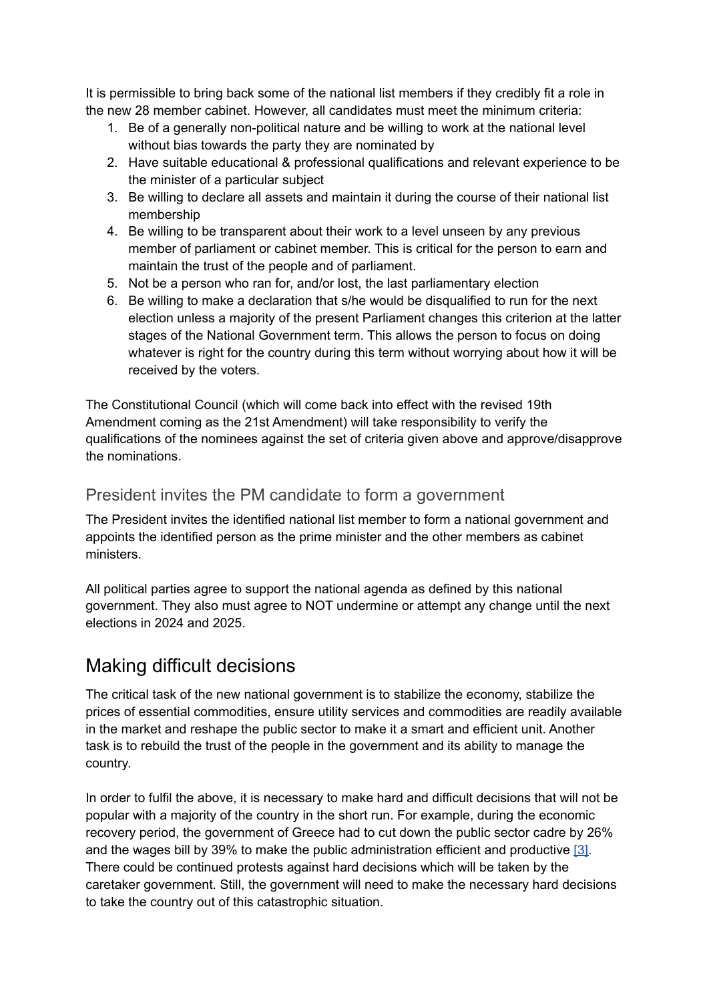It is permissible to bring back some of the national list members if they credibly fit a role in the new 28 member cabinet. However, all candidates must meet the minimum criteria:

- 1. Be of a generally non-political nature and be willing to work at the national level without bias towards the party they are nominated by
- 2. Have suitable educational & professional qualifications and relevant experience to be the minister of a particular subject
- 3. Be willing to declare all assets and maintain it during the course of their national list membership
- 4. Be willing to be transparent about their work to a level unseen by any previous member of parliament or cabinet member. This is critical for the person to earn and maintain the trust of the people and of parliament.
- 5. Not be a person who ran for, and/or lost, the last parliamentary election
- 6. Be willing to make a declaration that s/he would be disqualified to run for the next election unless a majority of the present Parliament changes this criterion at the latter stages of the National Government term. This allows the person to focus on doing whatever is right for the country during this term without worrying about how it will be received by the voters.

The Constitutional Council (which will come back into effect with the revised 19th Amendment coming as the 21st Amendment) will take responsibility to verify the qualifications of the nominees against the set of criteria given above and approve/disapprove the nominations.

#### <span id="page-6-0"></span>President invites the PM candidate to form a government

The President invites the identified national list member to form a national government and appoints the identified person as the prime minister and the other members as cabinet ministers.

All political parties agree to support the national agenda as defined by this national government. They also must agree to NOT undermine or attempt any change until the next elections in 2024 and 2025.

### <span id="page-6-1"></span>Making difficult decisions

The critical task of the new national government is to stabilize the economy, stabilize the prices of essential commodities, ensure utility services and commodities are readily available in the market and reshape the public sector to make it a smart and efficient unit. Another task is to rebuild the trust of the people in the government and its ability to manage the country.

In order to fulfil the above, it is necessary to make hard and difficult decisions that will not be popular with a majority of the country in the short run. For example, during the economic recovery period, the government of Greece had to cut down the public sector cadre by 26% and the wages bill by 39% to make the public administration efficient and productive [\[3\].](https://ec.europa.eu/info/sites/default/files/economy-finance/09_pillar_iv_public_admin_v11_5.pdf) There could be continued protests against hard decisions which will be taken by the caretaker government. Still, the government will need to make the necessary hard decisions to take the country out of this catastrophic situation.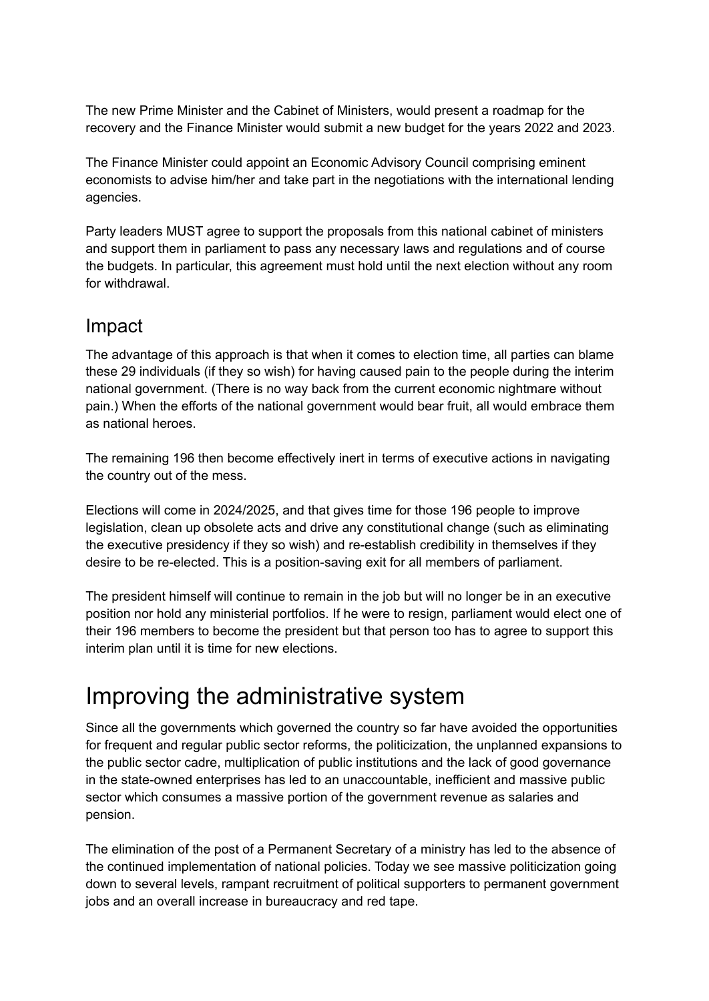The new Prime Minister and the Cabinet of Ministers, would present a roadmap for the recovery and the Finance Minister would submit a new budget for the years 2022 and 2023.

The Finance Minister could appoint an Economic Advisory Council comprising eminent economists to advise him/her and take part in the negotiations with the international lending agencies.

Party leaders MUST agree to support the proposals from this national cabinet of ministers and support them in parliament to pass any necessary laws and regulations and of course the budgets. In particular, this agreement must hold until the next election without any room for withdrawal.

### <span id="page-7-0"></span>Impact

The advantage of this approach is that when it comes to election time, all parties can blame these 29 individuals (if they so wish) for having caused pain to the people during the interim national government. (There is no way back from the current economic nightmare without pain.) When the efforts of the national government would bear fruit, all would embrace them as national heroes.

The remaining 196 then become effectively inert in terms of executive actions in navigating the country out of the mess.

Elections will come in 2024/2025, and that gives time for those 196 people to improve legislation, clean up obsolete acts and drive any constitutional change (such as eliminating the executive presidency if they so wish) and re-establish credibility in themselves if they desire to be re-elected. This is a position-saving exit for all members of parliament.

The president himself will continue to remain in the job but will no longer be in an executive position nor hold any ministerial portfolios. If he were to resign, parliament would elect one of their 196 members to become the president but that person too has to agree to support this interim plan until it is time for new elections.

## <span id="page-7-1"></span>Improving the administrative system

Since all the governments which governed the country so far have avoided the opportunities for frequent and regular public sector reforms, the politicization, the unplanned expansions to the public sector cadre, multiplication of public institutions and the lack of good governance in the state-owned enterprises has led to an unaccountable, inefficient and massive public sector which consumes a massive portion of the government revenue as salaries and pension.

The elimination of the post of a Permanent Secretary of a ministry has led to the absence of the continued implementation of national policies. Today we see massive politicization going down to several levels, rampant recruitment of political supporters to permanent government jobs and an overall increase in bureaucracy and red tape.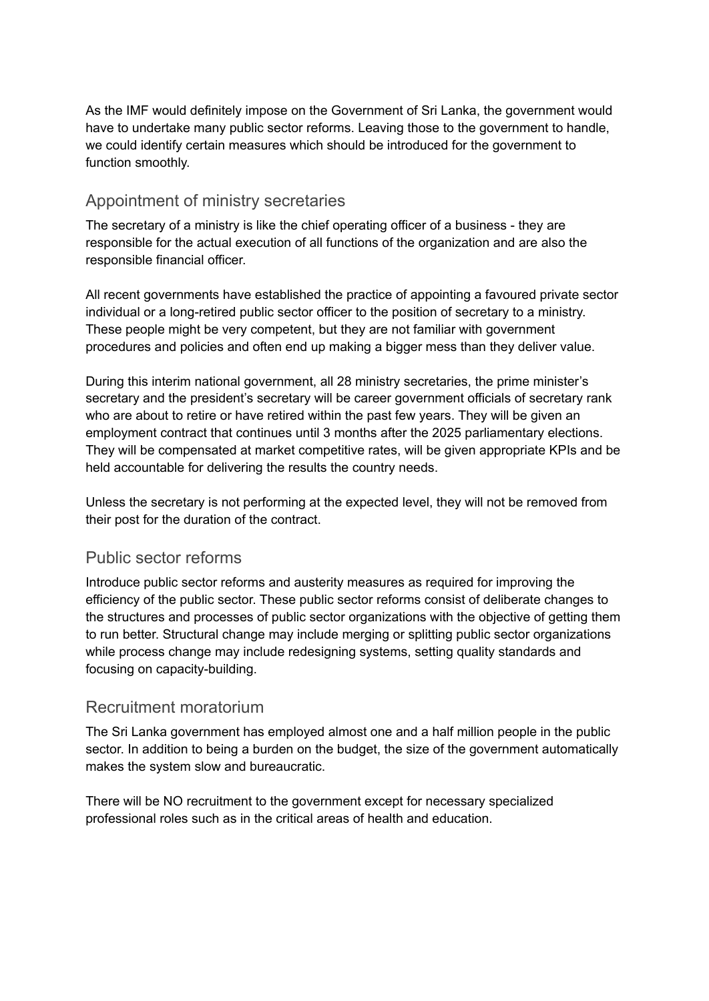As the IMF would definitely impose on the Government of Sri Lanka, the government would have to undertake many public sector reforms. Leaving those to the government to handle, we could identify certain measures which should be introduced for the government to function smoothly.

#### <span id="page-8-0"></span>Appointment of ministry secretaries

The secretary of a ministry is like the chief operating officer of a business - they are responsible for the actual execution of all functions of the organization and are also the responsible financial officer.

All recent governments have established the practice of appointing a favoured private sector individual or a long-retired public sector officer to the position of secretary to a ministry. These people might be very competent, but they are not familiar with government procedures and policies and often end up making a bigger mess than they deliver value.

During this interim national government, all 28 ministry secretaries, the prime minister's secretary and the president's secretary will be career government officials of secretary rank who are about to retire or have retired within the past few years. They will be given an employment contract that continues until 3 months after the 2025 parliamentary elections. They will be compensated at market competitive rates, will be given appropriate KPIs and be held accountable for delivering the results the country needs.

Unless the secretary is not performing at the expected level, they will not be removed from their post for the duration of the contract.

#### <span id="page-8-1"></span>Public sector reforms

Introduce public sector reforms and austerity measures as required for improving the efficiency of the public sector. These public sector reforms consist of deliberate changes to the structures and processes of public sector organizations with the objective of getting them to run better. Structural change may include merging or splitting public sector organizations while process change may include redesigning systems, setting quality standards and focusing on capacity-building.

#### <span id="page-8-2"></span>Recruitment moratorium

The Sri Lanka government has employed almost one and a half million people in the public sector. In addition to being a burden on the budget, the size of the government automatically makes the system slow and bureaucratic.

There will be NO recruitment to the government except for necessary specialized professional roles such as in the critical areas of health and education.